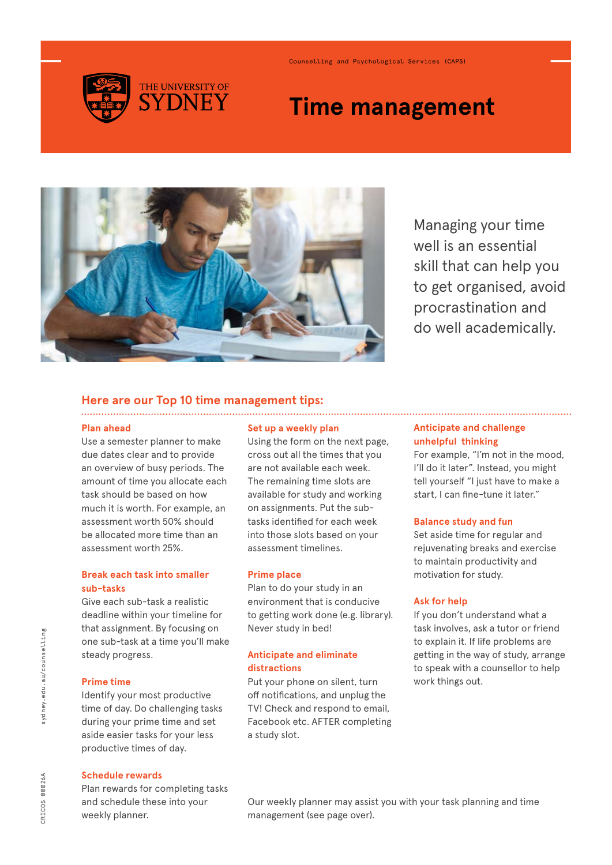

Counselling and Psychological Services (CAPS)

# **Time management**



Managing your time well is an essential skill that can help you to get organised, avoid procrastination and do well academically.

#### **Here are our Top 10 time management tips:**

#### **Plan ahead**

Use a semester planner to make due dates clear and to provide an overview of busy periods. The amount of time you allocate each task should be based on how much it is worth. For example, an assessment worth 50% should be allocated more time than an assessment worth 25%.

# **Break each task into smaller sub-tasks**

Give each sub-task a realistic deadline within your timeline for that assignment. By focusing on one sub-task at a time you'll make steady progress.

### **Prime time**

Identify your most productive time of day. Do challenging tasks during your prime time and set aside easier tasks for your less productive times of day.

#### **Schedule rewards**

Plan rewards for completing tasks and schedule these into your weekly planner.

#### **Set up a weekly plan**

Using the form on the next page, cross out all the times that you are not available each week. The remaining time slots are available for study and working on assignments. Put the subtasks identified for each week into those slots based on your assessment timelines.

#### **Prime place**

Plan to do your study in an environment that is conducive to getting work done (e.g. library). Never study in bed!

#### **Anticipate and eliminate distractions**

Put your phone on silent, turn off notifications, and unplug the TV! Check and respond to email, Facebook etc. AFTER completing a study slot.

# **Anticipate and challenge unhelpful thinking**

For example, "I'm not in the mood, I'll do it later". Instead, you might tell yourself "I just have to make a start, I can fine-tune it later."

#### **Balance study and fun**

Set aside time for regular and rejuvenating breaks and exercise to maintain productivity and motivation for study.

#### **Ask for help**

If you don't understand what a task involves, ask a tutor or friend to explain it. If life problems are getting in the way of study, arrange to speak with a counsellor to help work things out.

Our weekly planner may assist you with your task planning and time management (see page over).